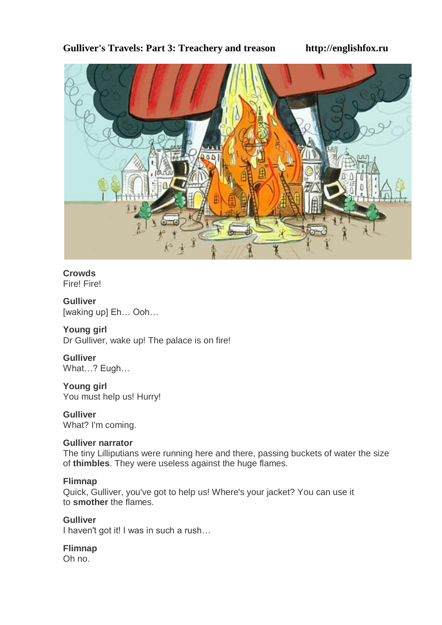# **Gulliver's Travels: Part 3: Treachery and treason http://englishfox.ru**



# **Crowds**

Fire! Fire!

#### **Gulliver** [waking up] Eh… Ooh…

**Young girl** Dr Gulliver, wake up! The palace is on fire!

# **Gulliver**

What…? Eugh…

**Young girl** You must help us! Hurry!

**Gulliver** What? I'm coming.

# **Gulliver narrator**

The tiny Lilliputians were running here and there, passing buckets of water the size of **thimbles**. They were useless against the huge flames.

# **Flimnap**

Quick, Gulliver, you've got to help us! Where's your jacket? You can use it to **smother** the flames.

**Gulliver** I haven't got it! I was in such a rush…

# **Flimnap**

Oh no.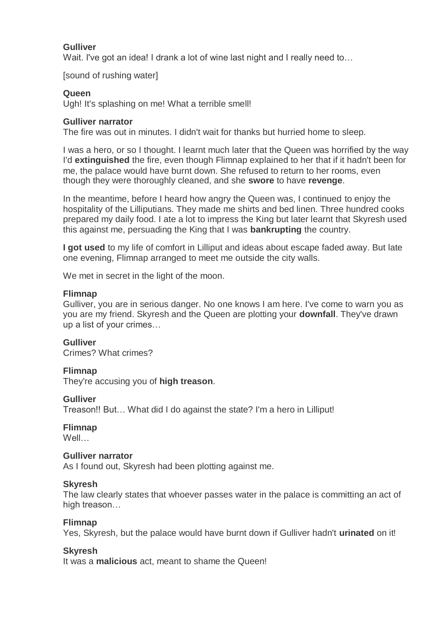# **Gulliver**

Wait. I've got an idea! I drank a lot of wine last night and I really need to...

[sound of rushing water]

# **Queen**

Ugh! It's splashing on me! What a terrible smell!

#### **Gulliver narrator**

The fire was out in minutes. I didn't wait for thanks but hurried home to sleep.

I was a hero, or so I thought. I learnt much later that the Queen was horrified by the way I'd **extinguished** the fire, even though Flimnap explained to her that if it hadn't been for me, the palace would have burnt down. She refused to return to her rooms, even though they were thoroughly cleaned, and she **swore** to have **revenge**.

In the meantime, before I heard how angry the Queen was, I continued to enjoy the hospitality of the Lilliputians. They made me shirts and bed linen. Three hundred cooks prepared my daily food. I ate a lot to impress the King but later learnt that Skyresh used this against me, persuading the King that I was **bankrupting** the country.

**I got used** to my life of comfort in Lilliput and ideas about escape faded away. But late one evening, Flimnap arranged to meet me outside the city walls.

We met in secret in the light of the moon.

#### **Flimnap**

Gulliver, you are in serious danger. No one knows I am here. I've come to warn you as you are my friend. Skyresh and the Queen are plotting your **downfall**. They've drawn up a list of your crimes…

# **Gulliver**

Crimes? What crimes?

#### **Flimnap**

They're accusing you of **high treason**.

#### **Gulliver**

Treason!! But… What did I do against the state? I'm a hero in Lilliput!

#### **Flimnap**

Well…

#### **Gulliver narrator**

As I found out, Skyresh had been plotting against me.

#### **Skyresh**

The law clearly states that whoever passes water in the palace is committing an act of high treason…

#### **Flimnap**

Yes, Skyresh, but the palace would have burnt down if Gulliver hadn't **urinated** on it!

#### **Skyresh**

It was a **malicious** act, meant to shame the Queen!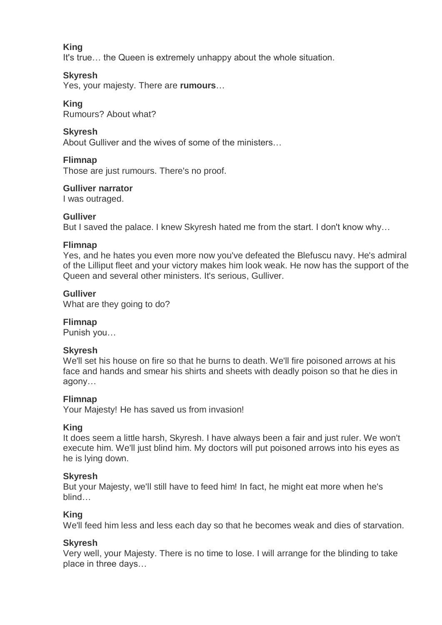# **King**

It's true… the Queen is extremely unhappy about the whole situation.

# **Skyresh**

Yes, your majesty. There are **rumours**…

# **King**

Rumours? About what?

# **Skyresh**

About Gulliver and the wives of some of the ministers…

#### **Flimnap**

Those are just rumours. There's no proof.

#### **Gulliver narrator**

I was outraged.

# **Gulliver**

But I saved the palace. I knew Skyresh hated me from the start. I don't know why…

#### **Flimnap**

Yes, and he hates you even more now you've defeated the Blefuscu navy. He's admiral of the Lilliput fleet and your victory makes him look weak. He now has the support of the Queen and several other ministers. It's serious, Gulliver.

# **Gulliver**

What are they going to do?

# **Flimnap**

Punish you…

# **Skyresh**

We'll set his house on fire so that he burns to death. We'll fire poisoned arrows at his face and hands and smear his shirts and sheets with deadly poison so that he dies in agony…

#### **Flimnap**

Your Majesty! He has saved us from invasion!

# **King**

It does seem a little harsh, Skyresh. I have always been a fair and just ruler. We won't execute him. We'll just blind him. My doctors will put poisoned arrows into his eyes as he is lying down.

# **Skyresh**

But your Majesty, we'll still have to feed him! In fact, he might eat more when he's blind…

# **King**

We'll feed him less and less each day so that he becomes weak and dies of starvation.

# **Skyresh**

Very well, your Majesty. There is no time to lose. I will arrange for the blinding to take place in three days…